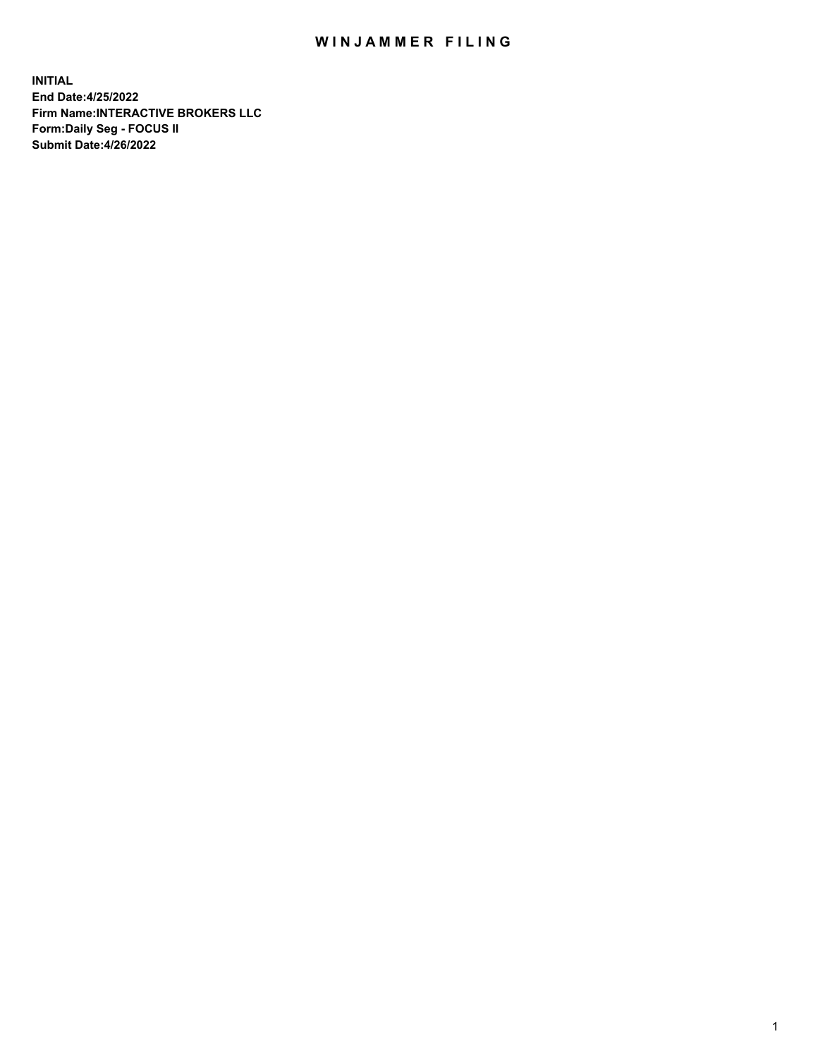## WIN JAMMER FILING

**INITIAL End Date:4/25/2022 Firm Name:INTERACTIVE BROKERS LLC Form:Daily Seg - FOCUS II Submit Date:4/26/2022**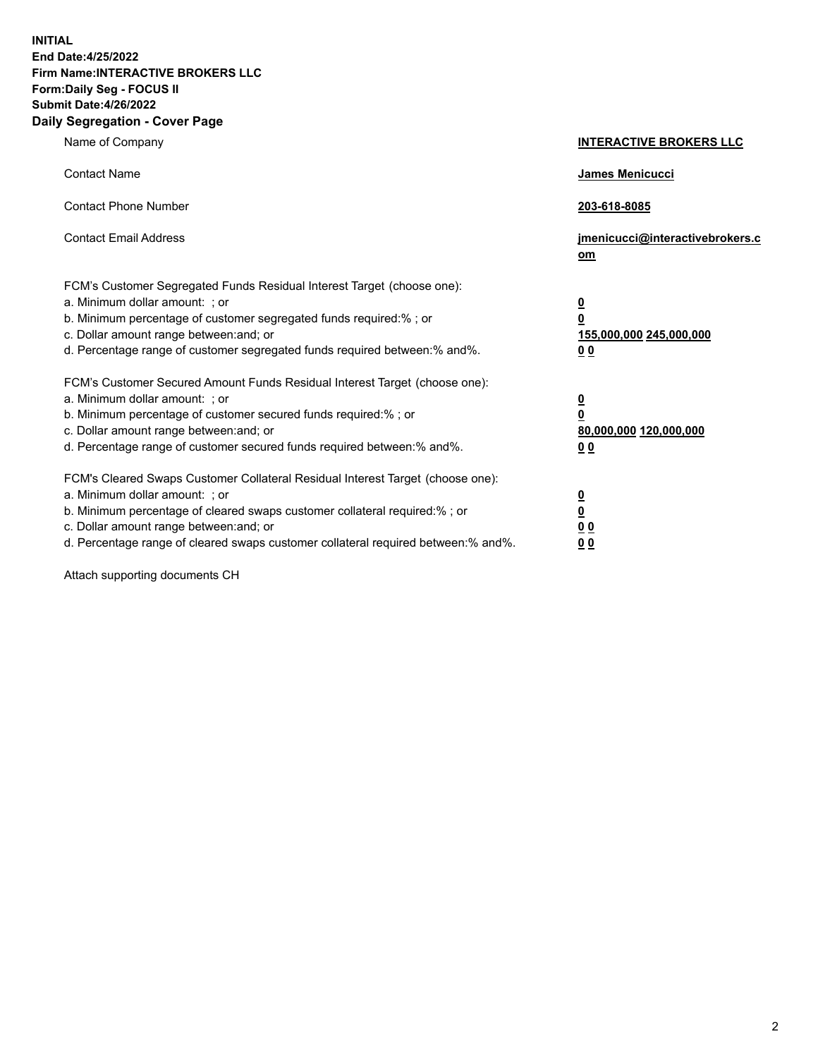**INITIAL End Date:4/25/2022 Firm Name:INTERACTIVE BROKERS LLC Form:Daily Seg - FOCUS II Submit Date:4/26/2022 Daily Segregation - Cover Page**

| Name of Company                                                                                                                                                                                                                                                                                                               | <b>INTERACTIVE BROKERS LLC</b>                                                                  |
|-------------------------------------------------------------------------------------------------------------------------------------------------------------------------------------------------------------------------------------------------------------------------------------------------------------------------------|-------------------------------------------------------------------------------------------------|
| <b>Contact Name</b>                                                                                                                                                                                                                                                                                                           | James Menicucci                                                                                 |
| <b>Contact Phone Number</b>                                                                                                                                                                                                                                                                                                   | 203-618-8085                                                                                    |
| <b>Contact Email Address</b>                                                                                                                                                                                                                                                                                                  | jmenicucci@interactivebrokers.c<br><u>om</u>                                                    |
| FCM's Customer Segregated Funds Residual Interest Target (choose one):<br>a. Minimum dollar amount: ; or<br>b. Minimum percentage of customer segregated funds required:% ; or<br>c. Dollar amount range between: and; or<br>d. Percentage range of customer segregated funds required between:% and%.                        | $\overline{\mathbf{0}}$<br>$\overline{\mathbf{0}}$<br>155,000,000 245,000,000<br>0 <sub>0</sub> |
| FCM's Customer Secured Amount Funds Residual Interest Target (choose one):<br>a. Minimum dollar amount: ; or<br>b. Minimum percentage of customer secured funds required:%; or<br>c. Dollar amount range between: and; or<br>d. Percentage range of customer secured funds required between:% and%.                           | $\overline{\mathbf{0}}$<br>$\overline{\mathbf{0}}$<br>80,000,000 120,000,000<br>0 <sub>0</sub>  |
| FCM's Cleared Swaps Customer Collateral Residual Interest Target (choose one):<br>a. Minimum dollar amount: ; or<br>b. Minimum percentage of cleared swaps customer collateral required:%; or<br>c. Dollar amount range between: and; or<br>d. Percentage range of cleared swaps customer collateral required between:% and%. | $\overline{\mathbf{0}}$<br>$\overline{\mathbf{0}}$<br>0 <sub>0</sub><br>0 <sub>0</sub>          |

Attach supporting documents CH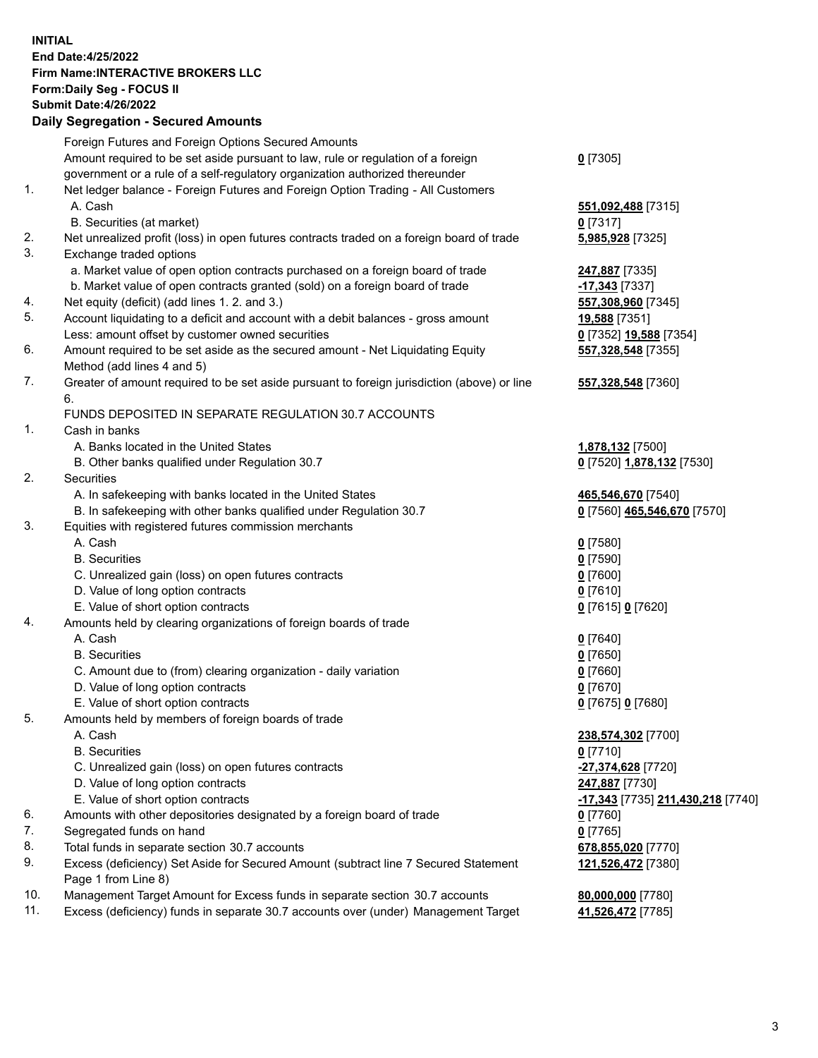**INITIAL End Date:4/25/2022 Firm Name:INTERACTIVE BROKERS LLC Form:Daily Seg - FOCUS II Submit Date:4/26/2022 Daily Segregation - Secured Amounts**

|          | Foreign Futures and Foreign Options Secured Amounts                                                          |                                                |
|----------|--------------------------------------------------------------------------------------------------------------|------------------------------------------------|
|          | Amount required to be set aside pursuant to law, rule or regulation of a foreign                             | $0$ [7305]                                     |
|          | government or a rule of a self-regulatory organization authorized thereunder                                 |                                                |
| 1.       | Net ledger balance - Foreign Futures and Foreign Option Trading - All Customers                              |                                                |
|          | A. Cash                                                                                                      | 551,092,488 [7315]                             |
|          | B. Securities (at market)                                                                                    | $0$ [7317]                                     |
| 2.       | Net unrealized profit (loss) in open futures contracts traded on a foreign board of trade                    | 5,985,928 [7325]                               |
| 3.       | Exchange traded options                                                                                      |                                                |
|          | a. Market value of open option contracts purchased on a foreign board of trade                               | 247,887 [7335]                                 |
|          | b. Market value of open contracts granted (sold) on a foreign board of trade                                 | -17,343 [7337]                                 |
| 4.<br>5. | Net equity (deficit) (add lines 1. 2. and 3.)                                                                | 557,308,960 [7345]                             |
|          | Account liquidating to a deficit and account with a debit balances - gross amount                            | 19,588 [7351]                                  |
| 6.       | Less: amount offset by customer owned securities                                                             | 0 [7352] 19,588 [7354]                         |
|          | Amount required to be set aside as the secured amount - Net Liquidating Equity<br>Method (add lines 4 and 5) | 557,328,548 [7355]                             |
| 7.       | Greater of amount required to be set aside pursuant to foreign jurisdiction (above) or line                  |                                                |
|          | 6.                                                                                                           | 557,328,548 [7360]                             |
|          | FUNDS DEPOSITED IN SEPARATE REGULATION 30.7 ACCOUNTS                                                         |                                                |
| 1.       | Cash in banks                                                                                                |                                                |
|          | A. Banks located in the United States                                                                        | 1,878,132 [7500]                               |
|          | B. Other banks qualified under Regulation 30.7                                                               | 0 [7520] 1,878,132 [7530]                      |
| 2.       | Securities                                                                                                   |                                                |
|          | A. In safekeeping with banks located in the United States                                                    | 465,546,670 [7540]                             |
|          | B. In safekeeping with other banks qualified under Regulation 30.7                                           | 0 [7560] 465,546,670 [7570]                    |
| 3.       | Equities with registered futures commission merchants                                                        |                                                |
|          | A. Cash                                                                                                      | $0$ [7580]                                     |
|          | <b>B.</b> Securities                                                                                         | $0$ [7590]                                     |
|          | C. Unrealized gain (loss) on open futures contracts                                                          | $0$ [7600]                                     |
|          | D. Value of long option contracts                                                                            | $0$ [7610]                                     |
|          | E. Value of short option contracts                                                                           | 0 [7615] 0 [7620]                              |
| 4.       | Amounts held by clearing organizations of foreign boards of trade                                            |                                                |
|          | A. Cash                                                                                                      | $0$ [7640]                                     |
|          | <b>B.</b> Securities                                                                                         | $0$ [7650]                                     |
|          | C. Amount due to (from) clearing organization - daily variation                                              | $0$ [7660]                                     |
|          | D. Value of long option contracts                                                                            | $0$ [7670]                                     |
|          | E. Value of short option contracts                                                                           | 0 [7675] 0 [7680]                              |
| 5.       | Amounts held by members of foreign boards of trade                                                           |                                                |
|          | A. Cash                                                                                                      | 238,574,302 [7700]                             |
|          | <b>B.</b> Securities                                                                                         | $0$ [7710]                                     |
|          | C. Unrealized gain (loss) on open futures contracts                                                          | -27,374,628 [7720]                             |
|          | D. Value of long option contracts                                                                            | 247,887 [7730]                                 |
|          | E. Value of short option contracts                                                                           | <mark>-17,343</mark> [7735] 211,430,218 [7740] |
| 6.       | Amounts with other depositories designated by a foreign board of trade                                       | $0$ [7760]                                     |
| 7.       | Segregated funds on hand                                                                                     | $0$ [7765]                                     |
| 8.       | Total funds in separate section 30.7 accounts                                                                | 678,855,020 [7770]                             |
| 9.       | Excess (deficiency) Set Aside for Secured Amount (subtract line 7 Secured Statement<br>Page 1 from Line 8)   | 121,526,472 [7380]                             |
| 10.      | Management Target Amount for Excess funds in separate section 30.7 accounts                                  | 80,000,000 [7780]                              |
| 11.      | Excess (deficiency) funds in separate 30.7 accounts over (under) Management Target                           | 41,526,472 [7785]                              |
|          |                                                                                                              |                                                |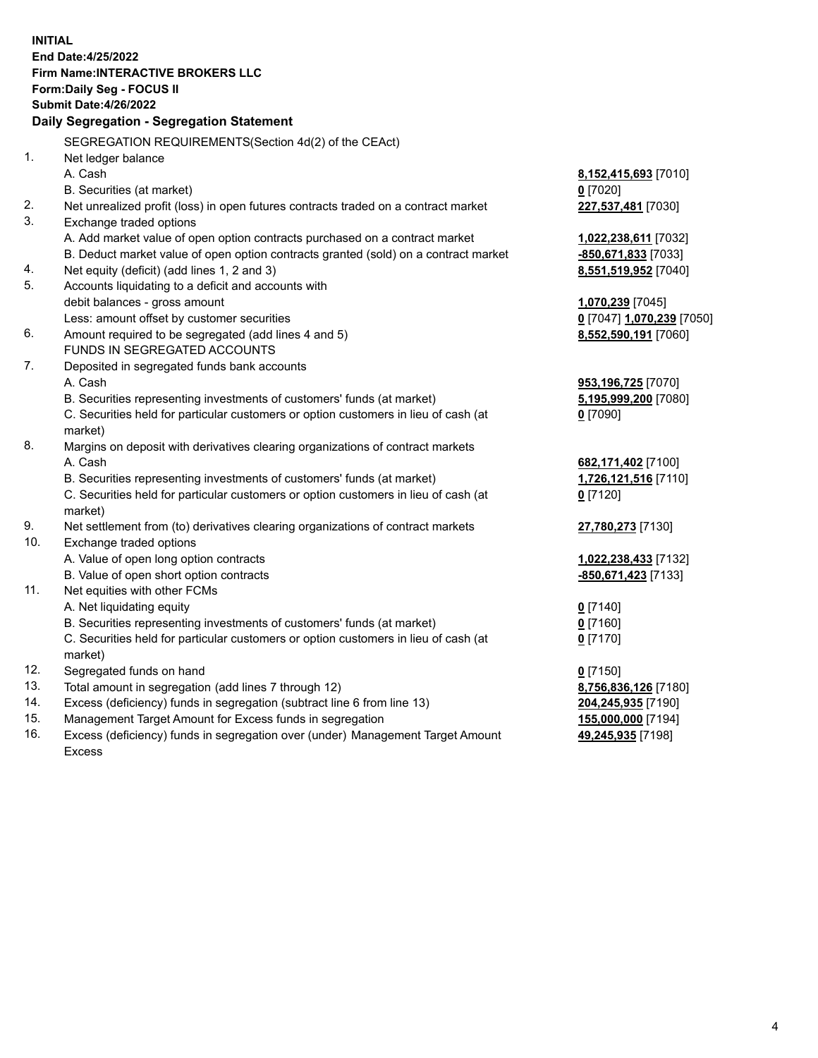**INITIAL End Date:4/25/2022 Firm Name:INTERACTIVE BROKERS LLC Form:Daily Seg - FOCUS II Submit Date:4/26/2022 Daily Segregation - Segregation Statement** SEGREGATION REQUIREMENTS(Section 4d(2) of the CEAct) 1. Net ledger balance A. Cash **8,152,415,693** [7010] B. Securities (at market) **0** [7020] 2. Net unrealized profit (loss) in open futures contracts traded on a contract market **227,537,481** [7030] 3. Exchange traded options A. Add market value of open option contracts purchased on a contract market **1,022,238,611** [7032] B. Deduct market value of open option contracts granted (sold) on a contract market **-850,671,833** [7033] 4. Net equity (deficit) (add lines 1, 2 and 3) **8,551,519,952** [7040] 5. Accounts liquidating to a deficit and accounts with debit balances - gross amount **1,070,239** [7045] Less: amount offset by customer securities **0** [7047] **1,070,239** [7050] 6. Amount required to be segregated (add lines 4 and 5) **8,552,590,191** [7060] FUNDS IN SEGREGATED ACCOUNTS 7. Deposited in segregated funds bank accounts A. Cash **953,196,725** [7070] B. Securities representing investments of customers' funds (at market) **5,195,999,200** [7080] C. Securities held for particular customers or option customers in lieu of cash (at market) **0** [7090] 8. Margins on deposit with derivatives clearing organizations of contract markets A. Cash **682,171,402** [7100] B. Securities representing investments of customers' funds (at market) **1,726,121,516** [7110] C. Securities held for particular customers or option customers in lieu of cash (at market) **0** [7120] 9. Net settlement from (to) derivatives clearing organizations of contract markets **27,780,273** [7130] 10. Exchange traded options A. Value of open long option contracts **1,022,238,433** [7132] B. Value of open short option contracts **-850,671,423** [7133] 11. Net equities with other FCMs A. Net liquidating equity **0** [7140] B. Securities representing investments of customers' funds (at market) **0** [7160] C. Securities held for particular customers or option customers in lieu of cash (at market) **0** [7170] 12. Segregated funds on hand **0** [7150] 13. Total amount in segregation (add lines 7 through 12) **8,756,836,126** [7180] 14. Excess (deficiency) funds in segregation (subtract line 6 from line 13) **204,245,935** [7190] 15. Management Target Amount for Excess funds in segregation **155,000,000** [7194]

16. Excess (deficiency) funds in segregation over (under) Management Target Amount Excess

**49,245,935** [7198]